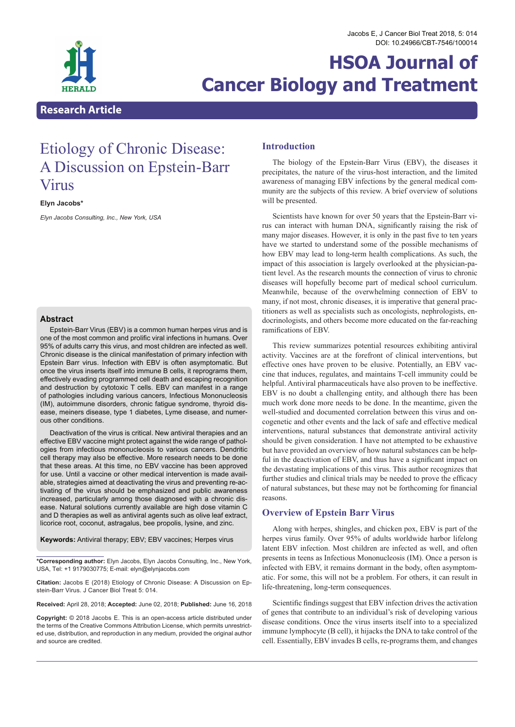# **HSOA Journal of Cancer Biology and Treatment**

# **Research Article**

# Etiology of Chronic Disease: A Discussion on Epstein-Barr Virus

**Elyn Jacobs\***

*Elyn Jacobs Consulting, Inc., New York, USA*

# **Abstract**

Epstein-Barr Virus (EBV) is a common human herpes virus and is one of the most common and prolific viral infections in humans. Over 95% of adults carry this virus, and most children are infected as well. Chronic disease is the clinical manifestation of primary infection with Epstein Barr virus. Infection with EBV is often asymptomatic. But once the virus inserts itself into immune B cells, it reprograms them, effectively evading programmed cell death and escaping recognition and destruction by cytotoxic T cells. EBV can manifest in a range of pathologies including various cancers, Infectious Mononucleosis (IM), autoimmune disorders, chronic fatigue syndrome, thyroid disease, meiners disease, type 1 diabetes, Lyme disease, and numerous other conditions.

Deactivation of the virus is critical. New antiviral therapies and an effective EBV vaccine might protect against the wide range of pathologies from infectious mononucleosis to various cancers. Dendritic cell therapy may also be effective. More research needs to be done that these areas. At this time, no EBV vaccine has been approved for use. Until a vaccine or other medical intervention is made available, strategies aimed at deactivating the virus and preventing re-activating of the virus should be emphasized and public awareness increased, particularly among those diagnosed with a chronic disease. Natural solutions currently available are high dose vitamin C and D therapies as well as antiviral agents such as olive leaf extract, licorice root, coconut, astragalus, bee propolis, lysine, and zinc.

**Keywords:** Antiviral therapy; EBV; EBV vaccines; Herpes virus

**\*Corresponding author:** Elyn Jacobs, Elyn Jacobs Consulting, Inc., New York, USA, Tel: +1 9179030775; E-mail: elyn@elynjacobs.com

**Citation:** Jacobs E (2018) Etiology of Chronic Disease: A Discussion on Ep- stein-Barr Virus. J Cancer Biol Treat 5: 014.

**Received:** April 28, 2018; **Accepted:** June 02, 2018; **Published:** June 16, 2018

**Copyright:** © 2018 Jacobs E. This is an open-access article distributed under the terms of the Creative Commons Attribution License, which permits unrestricted use, distribution, and reproduction in any medium, provided the original author and source are credited.

# **Introduction**

The biology of the Epstein-Barr Virus (EBV), the diseases it precipitates, the nature of the virus-host interaction, and the limited awareness of managing EBV infections by the general medical community are the subjects of this review. A brief overview of solutions will be presented.

Scientists have known for over 50 years that the Epstein-Barr virus can interact with human DNA, significantly raising the risk of many major diseases. However, it is only in the past five to ten years have we started to understand some of the possible mechanisms of how EBV may lead to long-term health complications. As such, the impact of this association is largely overlooked at the physician-patient level. As the research mounts the connection of virus to chronic diseases will hopefully become part of medical school curriculum. Meanwhile, because of the overwhelming connection of EBV to many, if not most, chronic diseases, it is imperative that general practitioners as well as specialists such as oncologists, nephrologists, endocrinologists, and others become more educated on the far-reaching ramifications of EBV.

This review summarizes potential resources exhibiting antiviral activity. Vaccines are at the forefront of clinical interventions, but effective ones have proven to be elusive. Potentially, an EBV vaccine that induces, regulates, and maintains T-cell immunity could be helpful. Antiviral pharmaceuticals have also proven to be ineffective. EBV is no doubt a challenging entity, and although there has been much work done more needs to be done. In the meantime, given the well-studied and documented correlation between this virus and oncogenetic and other events and the lack of safe and effective medical interventions, natural substances that demonstrate antiviral activity should be given consideration. I have not attempted to be exhaustive but have provided an overview of how natural substances can be helpful in the deactivation of EBV, and thus have a significant impact on the devastating implications of this virus. This author recognizes that further studies and clinical trials may be needed to prove the efficacy of natural substances, but these may not be forthcoming for financial reasons.

#### **Overview of Epstein Barr Virus**

Along with herpes, shingles, and chicken pox, EBV is part of the herpes virus family. Over 95% of adults worldwide harbor lifelong latent EBV infection. Most children are infected as well, and often presents in teens as Infectious Mononucleosis (IM). Once a person is infected with EBV, it remains dormant in the body, often asymptomatic. For some, this will not be a problem. For others, it can result in life-threatening, long-term consequences.

Scientific findings suggest that EBV infection drives the activation of genes that contribute to an individual's risk of developing various disease conditions. Once the virus inserts itself into to a specialized immune lymphocyte (B cell), it hijacks the DNA to take control of the cell. Essentially, EBV invades B cells, re-programs them, and changes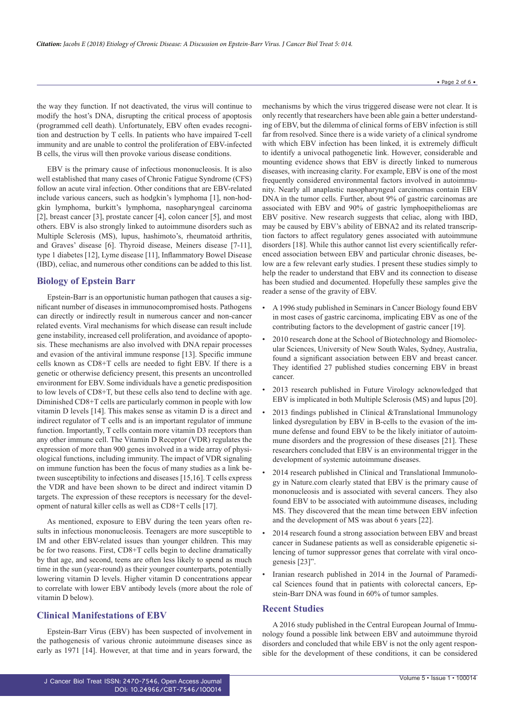the way they function. If not deactivated, the virus will continue to modify the host's DNA, disrupting the critical process of apoptosis (programmed cell death). Unfortunately, EBV often evades recognition and destruction by T cells. In patients who have impaired T-cell immunity and are unable to control the proliferation of EBV-infected B cells, the virus will then provoke various disease conditions.

EBV is the primary cause of infectious mononucleosis. It is also well established that many cases of Chronic Fatigue Syndrome (CFS) follow an acute viral infection. Other conditions that are EBV-related include various cancers, such as hodgkin's lymphoma [1], non-hodgkin lymphoma, burkitt's lymphoma, nasopharyngeal carcinoma [2], breast cancer [3], prostate cancer [4], colon cancer [5], and most others. EBV is also strongly linked to autoimmune disorders such as Multiple Sclerosis (MS), lupus, hashimoto's, rheumatoid arthritis, and Graves' disease [6]. Thyroid disease, Meiners disease [7-11], type 1 diabetes [12], Lyme disease [11], Inflammatory Bowel Disease (IBD), celiac, and numerous other conditions can be added to this list.

#### **Biology of Epstein Barr**

Epstein-Barr is an opportunistic human pathogen that causes a significant number of diseases in immunocompromised hosts. Pathogens can directly or indirectly result in numerous cancer and non-cancer related events. Viral mechanisms for which disease can result include gene instability, increased cell proliferation, and avoidance of apoptosis. These mechanisms are also involved with DNA repair processes and evasion of the antiviral immune response [13]. Specific immune cells known as CD8+T cells are needed to fight EBV. If there is a genetic or otherwise deficiency present, this presents an uncontrolled environment for EBV. Some individuals have a genetic predisposition to low levels of CD8+T, but these cells also tend to decline with age. Diminished CD8+T cells are particularly common in people with low vitamin D levels [14]. This makes sense as vitamin D is a direct and indirect regulator of T cells and is an important regulator of immune function. Importantly, T cells contain more vitamin D3 receptors than any other immune cell. The Vitamin D Receptor (VDR) regulates the expression of more than 900 genes involved in a wide array of physiological functions, including immunity. The impact of VDR signaling on immune function has been the focus of many studies as a link between susceptibility to infections and diseases [15,16]. T cells express the VDR and have been shown to be direct and indirect vitamin D targets. The expression of these receptors is necessary for the development of natural killer cells as well as CD8+T cells [17].

As mentioned, exposure to EBV during the teen years often results in infectious mononucleosis. Teenagers are more susceptible to IM and other EBV-related issues than younger children. This may be for two reasons. First, CD8+T cells begin to decline dramatically by that age, and second, teens are often less likely to spend as much time in the sun (year-round) as their younger counterparts, potentially lowering vitamin D levels. Higher vitamin D concentrations appear to correlate with lower EBV antibody levels (more about the role of vitamin D below).

#### **Clinical Manifestations of EBV**

Epstein-Barr Virus (EBV) has been suspected of involvement in the pathogenesis of various chronic autoimmune diseases since as early as 1971 [14]. However, at that time and in years forward, the mechanisms by which the virus triggered disease were not clear. It is only recently that researchers have been able gain a better understanding of EBV, but the dilemma of clinical forms of EBV infection is still far from resolved. Since there is a wide variety of a clinical syndrome with which EBV infection has been linked, it is extremely difficult to identify a univocal pathogenetic link. However, considerable and mounting evidence shows that EBV is directly linked to numerous diseases, with increasing clarity. For example, EBV is one of the most frequently considered environmental factors involved in autoimmunity. Nearly all anaplastic nasopharyngeal carcinomas contain EBV DNA in the tumor cells. Further, about 9% of gastric carcinomas are associated with EBV and 90% of gastric lymphoepitheliomas are EBV positive. New research suggests that celiac, along with IBD, may be caused by EBV's ability of EBNA2 and its related transcription factors to affect regulatory genes associated with autoimmune disorders [18]. While this author cannot list every scientifically referenced association between EBV and particular chronic diseases, below are a few relevant early studies. I present these studies simply to help the reader to understand that EBV and its connection to disease has been studied and documented. Hopefully these samples give the reader a sense of the gravity of EBV.

- A 1996 study published in Seminars in Cancer Biology found EBV in most cases of gastric carcinoma, implicating EBV as one of the contributing factors to the development of gastric cancer [19].
- 2010 research done at the School of Biotechnology and Biomolecular Sciences, University of New South Wales, Sydney, Australia, found a significant association between EBV and breast cancer. They identified 27 published studies concerning EBV in breast cancer.
- 2013 research published in Future Virology acknowledged that EBV is implicated in both Multiple Sclerosis (MS) and lupus [20].
- 2013 findings published in Clinical &Translational Immunology linked dysregulation by EBV in B-cells to the evasion of the immune defense and found EBV to be the likely initiator of autoimmune disorders and the progression of these diseases [21]. These researchers concluded that EBV is an environmental trigger in the development of systemic autoimmune diseases.
- 2014 research published in Clinical and Translational Immunology in Nature.com clearly stated that EBV is the primary cause of mononucleosis and is associated with several cancers. They also found EBV to be associated with autoimmune diseases, including MS. They discovered that the mean time between EBV infection and the development of MS was about 6 years [22].
- 2014 research found a strong association between EBV and breast cancer in Sudanese patients as well as considerable epigenetic silencing of tumor suppressor genes that correlate with viral oncogenesis [23]".
- Iranian research published in 2014 in the Journal of Paramedical Sciences found that in patients with colorectal cancers, Epstein-Barr DNA was found in 60% of tumor samples.

# **Recent Studies**

A 2016 study published in the Central European Journal of Immunology found a possible link between EBV and autoimmune thyroid disorders and concluded that while EBV is not the only agent responsible for the development of these conditions, it can be considered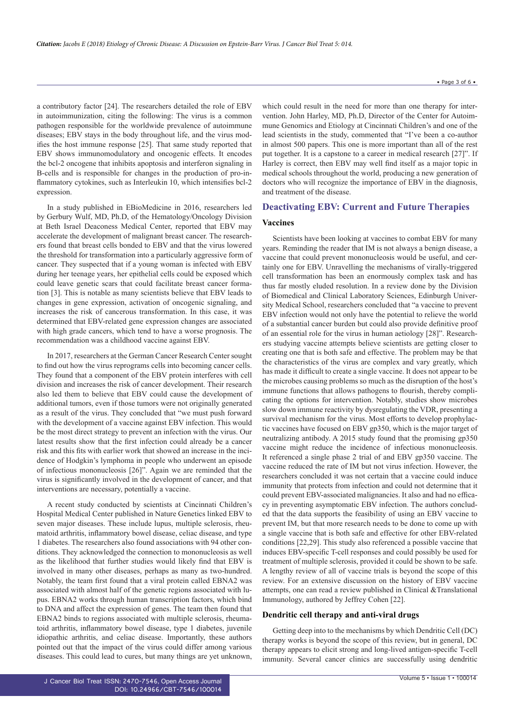a contributory factor [24]. The researchers detailed the role of EBV in autoimmunization, citing the following: The virus is a common pathogen responsible for the worldwide prevalence of autoimmune diseases; EBV stays in the body throughout life, and the virus modifies the host immune response [25]. That same study reported that EBV shows immunomodulatory and oncogenic effects. It encodes the bcl-2 oncogene that inhibits apoptosis and interferon signaling in B-cells and is responsible for changes in the production of pro-inflammatory cytokines, such as Interleukin 10, which intensifies bcl-2 expression.

In a study published in EBioMedicine in 2016, researchers led by Gerbury Wulf, MD, Ph.D, of the Hematology/Oncology Division at Beth Israel Deaconess Medical Center, reported that EBV may accelerate the development of malignant breast cancer. The researchers found that breast cells bonded to EBV and that the virus lowered the threshold for transformation into a particularly aggressive form of cancer. They suspected that if a young woman is infected with EBV during her teenage years, her epithelial cells could be exposed which could leave genetic scars that could facilitate breast cancer formation [3]. This is notable as many scientists believe that EBV leads to changes in gene expression, activation of oncogenic signaling, and increases the risk of cancerous transformation. In this case, it was determined that EBV-related gene expression changes are associated with high grade cancers, which tend to have a worse prognosis. The recommendation was a childhood vaccine against EBV.

In 2017, researchers at the German Cancer Research Center sought to find out how the virus reprograms cells into becoming cancer cells. They found that a component of the EBV protein interferes with cell division and increases the risk of cancer development. Their research also led them to believe that EBV could cause the development of additional tumors, even if those tumors were not originally generated as a result of the virus. They concluded that "we must push forward with the development of a vaccine against EBV infection. This would be the most direct strategy to prevent an infection with the virus. Our latest results show that the first infection could already be a cancer risk and this fits with earlier work that showed an increase in the incidence of Hodgkin's lymphoma in people who underwent an episode of infectious mononucleosis [26]". Again we are reminded that the virus is significantly involved in the development of cancer, and that interventions are necessary, potentially a vaccine.

A recent study conducted by scientists at Cincinnati Children's Hospital Medical Center published in Nature Genetics linked EBV to seven major diseases. These include lupus, multiple sclerosis, rheumatoid arthritis, inflammatory bowel disease, celiac disease, and type 1 diabetes. The researchers also found associations with 94 other conditions. They acknowledged the connection to mononucleosis as well as the likelihood that further studies would likely find that EBV is involved in many other diseases, perhaps as many as two-hundred. Notably, the team first found that a viral protein called EBNA2 was associated with almost half of the genetic regions associated with lupus. EBNA2 works through human transcription factors, which bind to DNA and affect the expression of genes. The team then found that EBNA2 binds to regions associated with multiple sclerosis, rheumatoid arthritis, inflammatory bowel disease, type 1 diabetes, juvenile idiopathic arthritis, and celiac disease. Importantly, these authors pointed out that the impact of the virus could differ among various diseases. This could lead to cures, but many things are yet unknown, which could result in the need for more than one therapy for intervention. John Harley, MD, Ph.D, Director of the Center for Autoimmune Genomics and Etiology at Cincinnati Children's and one of the lead scientists in the study, commented that "I've been a co-author in almost 500 papers. This one is more important than all of the rest put together. It is a capstone to a career in medical research [27]". If Harley is correct, then EBV may well find itself as a major topic in medical schools throughout the world, producing a new generation of doctors who will recognize the importance of EBV in the diagnosis, and treatment of the disease.

#### **Deactivating EBV: Current and Future Therapies**

#### **Vaccines**

Scientists have been looking at vaccines to combat EBV for many years. Reminding the reader that IM is not always a benign disease, a vaccine that could prevent mononucleosis would be useful, and certainly one for EBV. Unravelling the mechanisms of virally-triggered cell transformation has been an enormously complex task and has thus far mostly eluded resolution. In a review done by the Division of Biomedical and Clinical Laboratory Sciences, Edinburgh University Medical School, researchers concluded that "a vaccine to prevent EBV infection would not only have the potential to relieve the world of a substantial cancer burden but could also provide definitive proof of an essential role for the virus in human aetiology [28]". Researchers studying vaccine attempts believe scientists are getting closer to creating one that is both safe and effective. The problem may be that the characteristics of the virus are complex and vary greatly, which has made it difficult to create a single vaccine. It does not appear to be the microbes causing problems so much as the disruption of the host's immune functions that allows pathogens to flourish, thereby complicating the options for intervention. Notably, studies show microbes slow down immune reactivity by dysregulating the VDR, presenting a survival mechanism for the virus. Most efforts to develop prophylactic vaccines have focused on EBV gp350, which is the major target of neutralizing antibody. A 2015 study found that the promising gp350 vaccine might reduce the incidence of infectious mononucleosis. It referenced a single phase 2 trial of and EBV gp350 vaccine. The vaccine reduced the rate of IM but not virus infection. However, the researchers concluded it was not certain that a vaccine could induce immunity that protects from infection and could not determine that it could prevent EBV-associated malignancies. It also and had no efficacy in preventing asymptomatic EBV infection. The authors concluded that the data supports the feasibility of using an EBV vaccine to prevent IM, but that more research needs to be done to come up with a single vaccine that is both safe and effective for other EBV-related conditions [22,29]. This study also referenced a possible vaccine that induces EBV-specific T-cell responses and could possibly be used for treatment of multiple sclerosis, provided it could be shown to be safe. A lengthy review of all of vaccine trials is beyond the scope of this review. For an extensive discussion on the history of EBV vaccine attempts, one can read a review published in Clinical &Translational Immunology, authored by Jeffrey Cohen [22].

#### **Dendritic cell therapy and anti-viral drugs**

Getting deep into to the mechanisms by which Dendritic Cell (DC) therapy works is beyond the scope of this review, but in general, DC therapy appears to elicit strong and long-lived antigen-specific T-cell immunity. Several cancer clinics are successfully using dendritic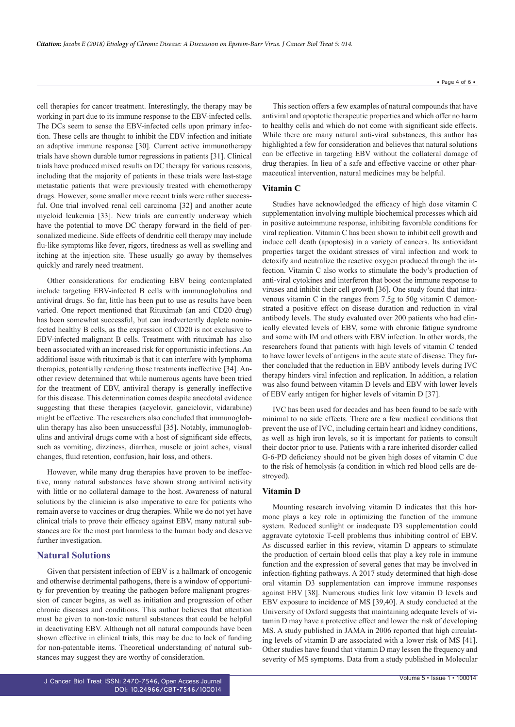cell therapies for cancer treatment. Interestingly, the therapy may be working in part due to its immune response to the EBV-infected cells. The DCs seem to sense the EBV-infected cells upon primary infection. These cells are thought to inhibit the EBV infection and initiate an adaptive immune response [30]. Current active immunotherapy trials have shown durable tumor regressions in patients [31]. Clinical trials have produced mixed results on DC therapy for various reasons, including that the majority of patients in these trials were last-stage metastatic patients that were previously treated with chemotherapy

drugs. However, some smaller more recent trials were rather successful. One trial involved renal cell carcinoma [32] and another acute myeloid leukemia [33]. New trials are currently underway which have the potential to move DC therapy forward in the field of personalized medicine. Side effects of dendritic cell therapy may include flu-like symptoms like fever, rigors, tiredness as well as swelling and itching at the injection site. These usually go away by themselves quickly and rarely need treatment.

Other considerations for eradicating EBV being contemplated include targeting EBV-infected B cells with immunoglobulins and antiviral drugs. So far, little has been put to use as results have been varied. One report mentioned that Rituximab (an anti CD20 drug) has been somewhat successful, but can inadvertently deplete noninfected healthy B cells, as the expression of CD20 is not exclusive to EBV-infected malignant B cells. Treatment with rituximab has also been associated with an increased risk for opportunistic infections. An additional issue with rituximab is that it can interfere with lymphoma therapies, potentially rendering those treatments ineffective [34]. Another review determined that while numerous agents have been tried for the treatment of EBV, antiviral therapy is generally ineffective for this disease. This determination comes despite anecdotal evidence suggesting that these therapies (acyclovir, ganciclovir, vidarabine) might be effective. The researchers also concluded that immunoglobulin therapy has also been unsuccessful [35]. Notably, immunoglobulins and antiviral drugs come with a host of significant side effects, such as vomiting, dizziness, diarrhea, muscle or joint aches, visual changes, fluid retention, confusion, hair loss, and others.

However, while many drug therapies have proven to be ineffective, many natural substances have shown strong antiviral activity with little or no collateral damage to the host. Awareness of natural solutions by the clinician is also imperative to care for patients who remain averse to vaccines or drug therapies. While we do not yet have clinical trials to prove their efficacy against EBV, many natural substances are for the most part harmless to the human body and deserve further investigation.

#### **Natural Solutions**

Given that persistent infection of EBV is a hallmark of oncogenic and otherwise detrimental pathogens, there is a window of opportunity for prevention by treating the pathogen before malignant progression of cancer begins, as well as initiation and progression of other chronic diseases and conditions. This author believes that attention must be given to non-toxic natural substances that could be helpful in deactivating EBV. Although not all natural compounds have been shown effective in clinical trials, this may be due to lack of funding for non-patentable items. Theoretical understanding of natural substances may suggest they are worthy of consideration.

This section offers a few examples of natural compounds that have antiviral and apoptotic therapeutic properties and which offer no harm to healthy cells and which do not come with significant side effects. While there are many natural anti-viral substances, this author has highlighted a few for consideration and believes that natural solutions can be effective in targeting EBV without the collateral damage of drug therapies. In lieu of a safe and effective vaccine or other pharmaceutical intervention, natural medicines may be helpful.

#### **Vitamin C**

Studies have acknowledged the efficacy of high dose vitamin C supplementation involving multiple biochemical processes which aid in positive autoimmune response, inhibiting favorable conditions for viral replication. Vitamin C has been shown to inhibit cell growth and induce cell death (apoptosis) in a variety of cancers. Its antioxidant properties target the oxidant stresses of viral infection and work to detoxify and neutralize the reactive oxygen produced through the infection. Vitamin C also works to stimulate the body's production of anti-viral cytokines and interferon that boost the immune response to viruses and inhibit their cell growth [36]. One study found that intravenous vitamin C in the ranges from 7.5g to 50g vitamin C demonstrated a positive effect on disease duration and reduction in viral antibody levels. The study evaluated over 200 patients who had clinically elevated levels of EBV, some with chronic fatigue syndrome and some with IM and others with EBV infection. In other words, the researchers found that patients with high levels of vitamin C tended to have lower levels of antigens in the acute state of disease. They further concluded that the reduction in EBV antibody levels during IVC therapy hinders viral infection and replication. In addition, a relation was also found between vitamin D levels and EBV with lower levels of EBV early antigen for higher levels of vitamin D [37].

IVC has been used for decades and has been found to be safe with minimal to no side effects. There are a few medical conditions that prevent the use of IVC, including certain heart and kidney conditions, as well as high iron levels, so it is important for patients to consult their doctor prior to use. Patients with a rare inherited disorder called G-6-PD deficiency should not be given high doses of vitamin C due to the risk of hemolysis (a condition in which red blood cells are destroyed).

#### **Vitamin D**

Mounting research involving vitamin D indicates that this hormone plays a key role in optimizing the function of the immune system. Reduced sunlight or inadequate D3 supplementation could aggravate cytotoxic T-cell problems thus inhibiting control of EBV. As discussed earlier in this review, vitamin D appears to stimulate the production of certain blood cells that play a key role in immune function and the expression of several genes that may be involved in infection-fighting pathways. A 2017 study determined that high-dose oral vitamin D3 supplementation can improve immune responses against EBV [38]. Numerous studies link low vitamin D levels and EBV exposure to incidence of MS [39,40]. A study conducted at the University of Oxford suggests that maintaining adequate levels of vitamin D may have a protective effect and lower the risk of developing MS. A study published in JAMA in 2006 reported that high circulating levels of vitamin D are associated with a lower risk of MS [41]. Other studies have found that vitamin D may lessen the frequency and severity of MS symptoms. Data from a study published in Molecular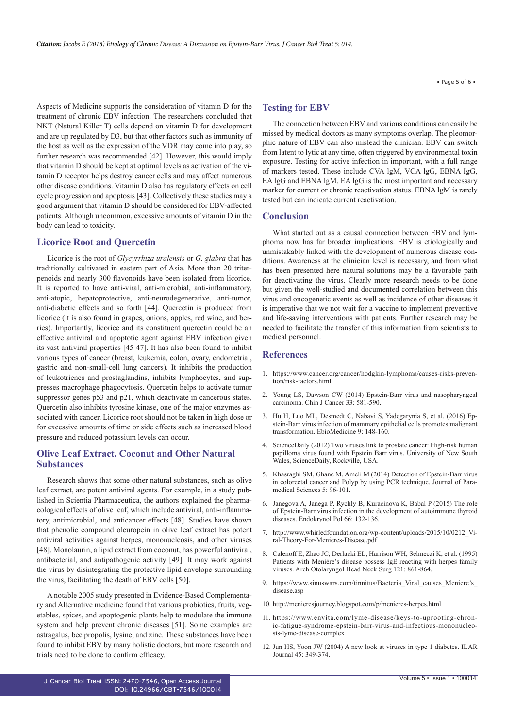Aspects of Medicine supports the consideration of vitamin D for the treatment of chronic EBV infection. The researchers concluded that NKT (Natural Killer T) cells depend on vitamin D for development and are up regulated by D3, but that other factors such as immunity of the host as well as the expression of the VDR may come into play, so further research was recommended [42]. However, this would imply that vitamin D should be kept at optimal levels as activation of the vitamin D receptor helps destroy cancer cells and may affect numerous other disease conditions. Vitamin D also has regulatory effects on cell cycle progression and apoptosis [43]. Collectively these studies may a good argument that vitamin D should be considered for EBV-affected patients. Although uncommon, excessive amounts of vitamin D in the body can lead to toxicity.

### **Licorice Root and Quercetin**

Licorice is the root of *Glycyrrhiza uralensis* or *G. glabra* that has traditionally cultivated in eastern part of Asia. More than 20 triterpenoids and nearly 300 flavonoids have been isolated from licorice. It is reported to have anti-viral, anti-microbial, anti-inflammatory, anti-atopic, hepatoprotective, anti-neurodegenerative, anti-tumor, anti-diabetic effects and so forth [44]. Quercetin is produced from licorice (it is also found in grapes, onions, apples, red wine, and berries). Importantly, licorice and its constituent quercetin could be an effective antiviral and apoptotic agent against EBV infection given its vast antiviral properties [45-47]. It has also been found to inhibit various types of cancer (breast, leukemia, colon, ovary, endometrial, gastric and non-small-cell lung cancers). It inhibits the production of leukotrienes and prostaglandins, inhibits lymphocytes, and suppresses macrophage phagocytosis. Quercetin helps to activate tumor suppressor genes p53 and p21, which deactivate in cancerous states. Quercetin also inhibits tyrosine kinase, one of the major enzymes associated with cancer. Licorice root should not be taken in high dose or for excessive amounts of time or side effects such as increased blood pressure and reduced potassium levels can occur.

# **Olive Leaf Extract, Coconut and Other Natural Substances**

Research shows that some other natural substances, such as olive leaf extract, are potent antiviral agents. For example, in a study published in Scientia Pharmaceutica, the authors explained the pharmacological effects of olive leaf, which include antiviral, anti-inflammatory, antimicrobial, and anticancer effects [48]. Studies have shown that phenolic compound oleuropein in olive leaf extract has potent antiviral activities against herpes, mononucleosis, and other viruses [48]. Monolaurin, a lipid extract from coconut, has powerful antiviral, antibacterial, and antipathogenic activity [49]. It may work against the virus by disintegrating the protective lipid envelope surrounding the virus, facilitating the death of EBV cells [50].

A notable 2005 study presented in Evidence-Based Complementary and Alternative medicine found that various probiotics, fruits, vegetables, spices, and apoptogenic plants help to modulate the immune system and help prevent chronic diseases [51]. Some examples are astragalus, bee propolis, lysine, and zinc. These substances have been found to inhibit EBV by many holistic doctors, but more research and trials need to be done to confirm efficacy.

## **Testing for EBV**

The connection between EBV and various conditions can easily be missed by medical doctors as many symptoms overlap. The pleomorphic nature of EBV can also mislead the clinician. EBV can switch from latent to lytic at any time, often triggered by environmental toxin exposure. Testing for active infection in important, with a full range of markers tested. These include CVA lgM, VCA lgG, EBNA IgG, EA lgG and EBNA lgM. EA lgG is the most important and necessary marker for current or chronic reactivation status. EBNA lgM is rarely tested but can indicate current reactivation.

#### **Conclusion**

What started out as a causal connection between EBV and lymphoma now has far broader implications. EBV is etiologically and unmistakably linked with the development of numerous disease conditions. Awareness at the clinician level is necessary, and from what has been presented here natural solutions may be a favorable path for deactivating the virus. Clearly more research needs to be done but given the well-studied and documented correlation between this virus and oncogenetic events as well as incidence of other diseases it is imperative that we not wait for a vaccine to implement preventive and life-saving interventions with patients. Further research may be needed to facilitate the transfer of this information from scientists to medical personnel.

#### **References**

- 1. [https://www.cancer.org/cancer/hodgkin-lymphoma/causes-risks-preven](https://www.cancer.org/cancer/hodgkin-lymphoma/causes-risks-prevention/risk-factors.html)[tion/risk-factors.html](https://www.cancer.org/cancer/hodgkin-lymphoma/causes-risks-prevention/risk-factors.html)
- 2. [Young LS, Dawson CW \(2014\) Epstein-Barr virus and nasopharyngeal](https://www.ncbi.nlm.nih.gov/pmc/articles/PMC4308653/) [carcinoma. Chin J Cancer 33: 581-590.](https://www.ncbi.nlm.nih.gov/pmc/articles/PMC4308653/)
- 3. [Hu H, Luo ML, Desmedt C, Nabavi S, Yadegarynia S, et al. \(2016\) Ep](https://www.ebiomedicine.com/article/S2352-3964(16)30209-2/abstract)[stein-Barr virus infection of mammary epithelial cells promotes malignant](https://www.ebiomedicine.com/article/S2352-3964(16)30209-2/abstract) [transformation. EbioMedicine 9: 148-160.](https://www.ebiomedicine.com/article/S2352-3964(16)30209-2/abstract)
- 4. [ScienceDaily \(2012\) Two viruses link to prostate cancer: High-risk human](https://www.sciencedaily.com/releases/2012/07/120731151739.htm) [papilloma virus found with Epstein Barr virus. University of New South](https://www.sciencedaily.com/releases/2012/07/120731151739.htm) [Wales, ScienceDaily, Rockville, USA.](https://www.sciencedaily.com/releases/2012/07/120731151739.htm)
- 5. [Khasraghi SM, Ghane M, Ameli M \(2014\) Detection of Epstein-Barr virus](http://journals.sbmu.ac.ir/jps/article/viewFile/7833/6304) [in colorectal cancer and Polyp by using PCR technique. Journal of Para](http://journals.sbmu.ac.ir/jps/article/viewFile/7833/6304)[medical Sciences 5: 96-101.](http://journals.sbmu.ac.ir/jps/article/viewFile/7833/6304)
- 6. [Janegova A, Janega P, Rychly B, Kuracinova K, Babal P \(2015\) The role](https://www.ncbi.nlm.nih.gov/pubmed/25931043) [of Epstein-Barr virus infection in the development of autoimmune thyroid](https://www.ncbi.nlm.nih.gov/pubmed/25931043) [diseases. Endokrynol Pol 66: 132-136.](https://www.ncbi.nlm.nih.gov/pubmed/25931043)
- 7. [http://www.whirledfoundation.org/wp-content/uploads/2015/10/0212\\_Vi](http://www.whirledfoundation.org/wp-content/uploads/2015/10/0212_Viral-Theory-For-Menieres-Disease.pdf)[ral-Theory-For-Menieres-Disease.pdf](http://www.whirledfoundation.org/wp-content/uploads/2015/10/0212_Viral-Theory-For-Menieres-Disease.pdf)
- 8. [Calenoff E, Zhao JC, Derlacki EL, Harrison WH, Selmeczi K, et al. \(1995\)](https://www.ncbi.nlm.nih.gov/pubmed/7619410) [Patients with Meniére's disease possess IgE reacting with herpes family](https://www.ncbi.nlm.nih.gov/pubmed/7619410) [viruses. Arch Otolaryngol Head Neck Surg 121: 861-864.](https://www.ncbi.nlm.nih.gov/pubmed/7619410)
- 9. [https://www.sinuswars.com/tinnitus/Bacteria\\_Viral\\_causes\\_Meniere's\\_](https://www.sinuswars.com/tinnitus/Bacteria_Viral_causes_Meniere) [disease.asp](https://www.sinuswars.com/tinnitus/Bacteria_Viral_causes_Meniere)
- 10. <http://menieresjourney.blogspot.com/p/menieres-herpes.html>
- 11. [https://www.envita.com/lyme-disease/keys-to-uprooting-chron](https://www.envita.com/lyme-disease/keys-to-uprooting-chronic-fatigue-syndrome-epstein-barr-virus-and-infectious-mononucleosis-lyme-disease-complex)[ic-fatigue-syndrome-epstein-barr-virus-and-infectious-mononucleo](https://www.envita.com/lyme-disease/keys-to-uprooting-chronic-fatigue-syndrome-epstein-barr-virus-and-infectious-mononucleosis-lyme-disease-complex)[sis-lyme-disease-complex](https://www.envita.com/lyme-disease/keys-to-uprooting-chronic-fatigue-syndrome-epstein-barr-virus-and-infectious-mononucleosis-lyme-disease-complex)
- 12. [Jun HS, Yoon JW \(2004\) A new look at viruses in type 1 diabetes. ILAR](https://academic.oup.com/ilarjournal/article/45/3/349/706296) [Journal 45: 349-374.](https://academic.oup.com/ilarjournal/article/45/3/349/706296)